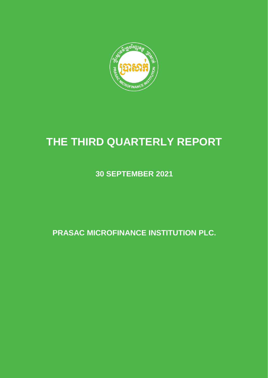

# **THE THIRD QUARTERLY REPORT**

**30 SEPTEMBER 2021**

**PRASAC MICROFINANCE INSTITUTION PLC.**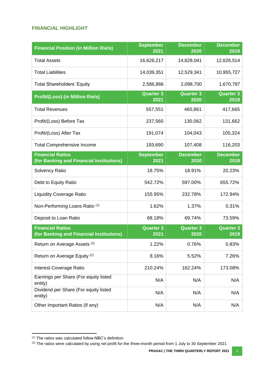#### <span id="page-1-0"></span>**FINANCIAL HIGHLIGHT**

| <b>Financial Position (in Million Riels)</b>                        | <b>September</b><br>2021 | <b>December</b><br>2020  | <b>December</b><br>2019  |
|---------------------------------------------------------------------|--------------------------|--------------------------|--------------------------|
| <b>Total Assets</b>                                                 | 16,626,217               | 14,628,041               | 12,626,514               |
| <b>Total Liabilities</b>                                            | 14,039,351               | 12,529,341               | 10,955,727               |
| <b>Total Shareholders' Equity</b>                                   | 2,586,866                | 2,098,700                | 1,670,787                |
| <b>Profit/(Loss) (in Million Riels)</b>                             | <b>Quarter 3</b><br>2021 | <b>Quarter 3</b><br>2020 | <b>Quarter 3</b><br>2019 |
| <b>Total Revenues</b>                                               | 557,551                  | 460,861                  | 417,665                  |
| Profit/(Loss) Before Tax                                            | 237,560                  | 130,062                  | 131,662                  |
| Profit/(Loss) After Tax                                             | 191,074                  | 104,043                  | 105,324                  |
| <b>Total Comprehensive Income</b>                                   | 193,690                  | 107,408                  | 116,203                  |
| <b>Financial Ratios</b><br>(for Banking and Financial Institutions) | <b>September</b><br>2021 | <b>December</b><br>2020  | <b>December</b><br>2019  |
| <b>Solvency Ratio</b>                                               | 18.75%                   | 18.91%                   | 20.23%                   |
| Debt to Equity Ratio                                                | 542.72%                  | 597.00%                  | 655.72%                  |
| <b>Liquidity Coverage Ratio</b>                                     | 155.95%                  | 232.78%                  | 172.94%                  |
| Non-Performing Loans Ratio <sup>(1)</sup>                           | 1.62%                    | 1.37%                    | 0.31%                    |
| Deposit to Loan Ratio                                               | 68.18%                   | 69.74%                   | 73.59%                   |
| <b>Financial Ratios</b><br>(for Banking and Financial Institutions) | <b>Quarter 3</b><br>2021 | <b>Quarter 3</b><br>2020 | <b>Quarter 3</b><br>2019 |
| Return on Average Assets <sup>(2)</sup>                             | 1.22%                    | 0.76%                    | 0.83%                    |
| Return on Average Equity <sup>(2)</sup>                             | 8.16%                    | 5.52%                    | 7.26%                    |
| Interest Coverage Ratio                                             | 210.24%                  | 162.24%                  | 173.08%                  |
| Earnings per Share (For equity listed<br>entity)                    | N/A                      | N/A                      | N/A                      |
| Dividend per Share (For equity listed<br>entity)                    | N/A                      | N/A                      | N/A                      |
| Other Important Ratios (If any)                                     | N/A                      | N/A                      | N/A                      |

 $\overline{a}$ 

<sup>(1)</sup> The ratios was calculated follow NBC's definition

<sup>(2)</sup> The ratios were calculated by using net profit for the three-month period from 1 July to 30 September 2021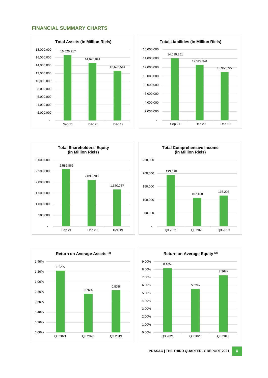#### <span id="page-2-0"></span>**FINANCIAL SUMMARY CHARTS**









<span id="page-2-1"></span>

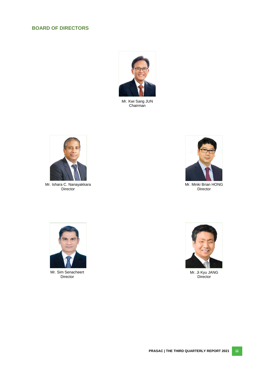# **BOARD OF DIRECTORS**



Mr. Kwi Sang JUN Chairman



Mr. Ishara C. Nanayakkara Director



Mr. Minki Brian HONG Director



Mr. Sim Senacheert Director



Mr. Ji Kyu JANG **Director**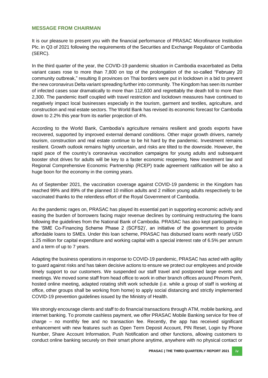#### <span id="page-4-0"></span>**MESSAGE FROM CHAIRMAN**

It is our pleasure to present you with the financial performance of PRASAC Microfinance Institution Plc. in Q3 of 2021 following the requirements of the Securities and Exchange Regulator of Cambodia (SERC).

In the third quarter of the year, the COVID-19 pandemic situation in Cambodia exacerbated as Delta variant cases rose to more than 7,800 on top of the prolongation of the so-called "February 20 community outbreak," resulting 8 provinces on Thai borders were put in lockdown in a bid to prevent the new coronavirus Delta variant spreading further into community. The Kingdom has seen its number of infected cases soar dramatically to more than 112,600 and regrettably the death toll to more than 2,300. The pandemic itself coupled with travel restriction and lockdown measures have continued to negatively impact local businesses especially in the tourism, garment and textiles, agriculture, and construction and real estate sectors. The World Bank has revised its economic forecast for Cambodia down to 2.2% this year from its earlier projection of 4%.

According to the World Bank, Cambodia's agriculture remains resilient and goods exports have recovered, supported by improved external demand conditions. Other major growth drivers, namely tourism, construction and real estate continue to be hit hard by the pandemic. Investment remains resilient. Growth outlook remains highly uncertain, and risks are tilted to the downside. However, the rapid pace of the country's coronavirus vaccination campaigns for young adults and subsequent booster shot drives for adults will be key to a faster economic reopening. New investment law and Regional Comprehensive Economic Partnership (RCEP) trade agreement ratification will be also a huge boon for the economy in the coming years.

As of September 2021, the vaccination coverage against COVID-19 pandemic in the Kingdom has reached 99% and 89% of the planned 10 million adults and 2 million young adults respectively to be vaccinated thanks to the relentless effort of the Royal Government of Cambodia.

As the pandemic rages on, PRASAC has played its essential part in supporting economic activity and easing the burden of borrowers facing major revenue declines by continuing restructuring the loans following the guidelines from the National Bank of Cambodia. PRASAC has also kept participating in the 'SME Co-Financing Scheme Phase 2 (SCFS2)', an initiative of the government to provide affordable loans to SMEs. Under this loan scheme, PRASAC has disbursed loans worth nearly USD 1.25 million for capital expenditure and working capital with a special interest rate of 6.5% per annum and a term of up to 7 years.

Adapting the business operations in response to COVID-19 pandemic, PRASAC has acted with agility to guard against risks and has taken decisive actions to ensure we protect our employees and provide timely support to our customers. We suspended our staff travel and postponed large events and meetings. We moved some staff from head office to work in other branch offices around Phnom Penh, hosted online meeting, adapted rotating shift work schedule (i.e. while a group of staff is working at office, other groups shall be working from home) to apply social distancing and strictly implemented COVID-19 prevention guidelines issued by the Ministry of Health.

We strongly encourage clients and staff to do financial transactions through ATM, mobile banking, and internet banking. To promote cashless payment, we offer PRASAC Mobile Banking service for free of charge – no monthly fee and no transaction fee. Recently, the app has received significant enhancement with new features such as Open Term Deposit Account, PIN Reset, Login by Phone Number, Share Account Information, Push Notification and other functions, allowing customers to conduct online banking securely on their smart phone anytime, anywhere with no physical contact or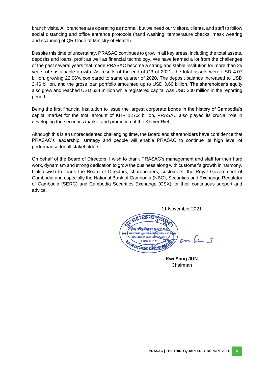branch visits. All branches are operating as normal, but we need our visitors, clients, and staff to follow social distancing and office entrance protocols (hand washing, temperature checks, mask wearing and scanning of QR Code of Ministry of Health).

Despite this time of uncertainty, PRASAC continues to grow in all key areas, including the total assets, deposits and loans, profit as well as financial technology. We have learned a lot from the challenges of the past several years that made PRASAC become a strong and stable institution for more than 25 years of sustainable growth. As results of the end of Q3 of 2021, the total assets were USD 4.07 billion, growing 22.06% compared to same quarter of 2020. The deposit balance increased to USD 2.46 billion, and the gross loan portfolio amounted up to USD 3.60 billion. The shareholder's equity also grew and reached USD 634 million while registered capital was USD 300 million in the reporting period.

Being the first financial institution to issue the largest corporate bonds in the history of Cambodia's capital market for the total amount of KHR 127.2 billion, PRASAC also played its crucial role in developing the securities market and promotion of the Khmer Riel.

Although this is an unprecedented challenging time, the Board and shareholders have confidence that PRASAC's leadership, strategy and people will enable PRASAC to continue its high level of performance for all stakeholders.

On behalf of the Board of Directors, I wish to thank PRASAC's management and staff for their hard work, dynamism and strong dedication to grow the business along with customer's growth in harmony. I also wish to thank the Board of Directors, shareholders, customers, the Royal Government of Cambodia and especially the National Bank of Cambodia (NBC), Securities and Exchange Regulator of Cambodia (SERC) and Cambodia Securities Exchange (CSX) for their continuous support and advice.

11 November 2021 ឌ្រីះស្ថានទីក្រុសិរញ្ញទត្តុ ប្រាសាក់ เซากาลธา รูดพากพิชยุ **PRASAC MICROFINANCE INST**  $cnL_{1}s$ "PRASAC MFI PLC **BY 27 FT THESIC MITHER** 

**Kwi Sang JUN** Chairman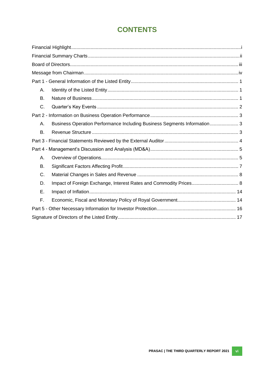# **CONTENTS**

| Α.        |                                                                          |  |
|-----------|--------------------------------------------------------------------------|--|
| <b>B.</b> |                                                                          |  |
| C.        |                                                                          |  |
|           |                                                                          |  |
| Α.        | Business Operation Performance Including Business Segments Information 3 |  |
| <b>B.</b> |                                                                          |  |
|           |                                                                          |  |
|           |                                                                          |  |
| Α.        |                                                                          |  |
| B.        |                                                                          |  |
| C.        |                                                                          |  |
| D.        |                                                                          |  |
| Ε.        |                                                                          |  |
| F.        |                                                                          |  |
|           |                                                                          |  |
|           |                                                                          |  |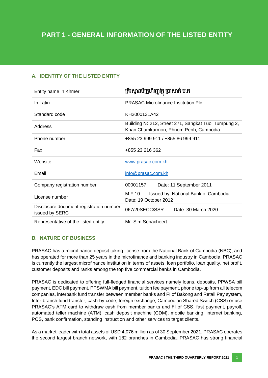# <span id="page-7-0"></span>**A. IDENTITY OF THE LISTED ENTITY**

| Entity name in Khmer                                      | គ្រឹះស្ថានមីក្រូហិរញ្ញវត្ថុ ប្រាសាក់ ម.ក                                                      |  |  |  |
|-----------------------------------------------------------|-----------------------------------------------------------------------------------------------|--|--|--|
| In Latin                                                  | <b>PRASAC Microfinance Institution Plc.</b>                                                   |  |  |  |
| Standard code                                             | KH2000131A42                                                                                  |  |  |  |
| Address                                                   | Building № 212, Street 271, Sangkat Tuol Tumpung 2,<br>Khan Chamkarmon, Phnom Penh, Cambodia. |  |  |  |
| Phone number                                              | +855 23 999 911 / +855 86 999 911                                                             |  |  |  |
| Fax                                                       | +855 23 216 362                                                                               |  |  |  |
| Website                                                   | www.prasac.com.kh                                                                             |  |  |  |
| Email                                                     | info@prasac.com.kh                                                                            |  |  |  |
| Company registration number                               | 00001157<br>Date: 11 September 2011                                                           |  |  |  |
| License number                                            | M.F 10<br>Issued by: National Bank of Cambodia<br>Date: 19 October 2012                       |  |  |  |
| Disclosure document registration number<br>issued by SERC | 067/20SECC/SSR<br>Date: 30 March 2020                                                         |  |  |  |
| Representative of the listed entity                       | Mr. Sim Senacheert                                                                            |  |  |  |

# <span id="page-7-1"></span>**B. NATURE OF BUSINESS**

PRASAC has a microfinance deposit taking license from the National Bank of Cambodia (NBC), and has operated for more than 25 years in the microfinance and banking industry in Cambodia. PRASAC is currently the largest microfinance institution in terms of assets, loan portfolio, loan quality, net profit, customer deposits and ranks among the top five commercial banks in Cambodia.

PRASAC is dedicated to offering full-fledged financial services namely loans, deposits, PPWSA bill payment, EDC bill payment, PPSWMA bill payment, tuition fee payment, phone top-up from all telecom companies, interbank fund transfer between member banks and FI of Bakong and Retail Pay system, Inter-branch fund transfer, cash-by-code, foreign exchange, Cambodian Shared Switch (CSS) or use PRASAC's ATM card to withdraw cash from member banks and FI of CSS, fast payment, payroll, automated teller machine (ATM), cash deposit machine (CDM), mobile banking, internet banking, POS, bank confirmation, standing instruction and other services to target clients.

As a market leader with total assets of USD 4,076 million as of 30 September 2021, PRASAC operates the second largest branch network, with 182 branches in Cambodia. PRASAC has strong financial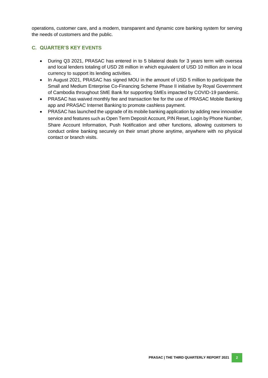operations, customer care, and a modern, transparent and dynamic core banking system for serving the needs of customers and the public.

### <span id="page-8-0"></span>**C. QUARTER'S KEY EVENTS**

- During Q3 2021, PRASAC has entered in to 5 bilateral deals for 3 years term with oversea and local lenders totaling of USD 28 million in which equivalent of USD 10 million are in local currency to support its lending activities.
- In August 2021, PRASAC has signed MOU in the amount of USD 5 million to participate the Small and Medium Enterprise Co-Financing Scheme Phase II initiative by Royal Government of Cambodia throughout SME Bank for supporting SMEs impacted by COVID-19 pandemic.
- PRASAC has waived monthly fee and transaction fee for the use of PRASAC Mobile Banking app and PRASAC Internet Banking to promote cashless payment.
- PRASAC has launched the upgrade of its mobile banking application by adding new innovative service and features such as Open Term Deposit Account, PIN Reset, Login by Phone Number, Share Account Information, Push Notification and other functions, allowing customers to conduct online banking securely on their smart phone anytime, anywhere with no physical contact or branch visits.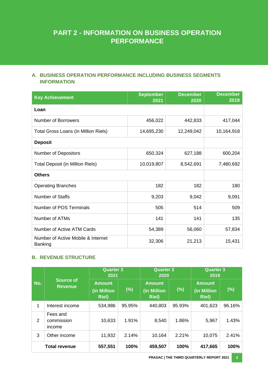# **PART 2 - INFORMATION ON BUSINESS OPERATION PERFORMANCE**

# <span id="page-9-0"></span>**A. BUSINESS OPERATION PERFORMANCE INCLUDING BUSINESS SEGMENTS INFORMATION**

| <b>Key Achievement</b>                               | <b>September</b><br>2021 | <b>December</b><br>2020 | <b>December</b><br>2019 |
|------------------------------------------------------|--------------------------|-------------------------|-------------------------|
| Loan                                                 |                          |                         |                         |
| <b>Number of Borrowers</b>                           | 456,022                  | 442,833                 | 417,044                 |
| Total Gross Loans (in Million Riels)                 | 14,695,230               | 12,249,042              | 10,164,918              |
| <b>Deposit</b>                                       |                          |                         |                         |
| <b>Number of Depositors</b>                          | 650,324                  | 627,188                 | 600,204                 |
| <b>Total Deposit (in Million Riels)</b>              | 10,019,807               | 8,542,691               | 7,480,692               |
| <b>Others</b>                                        |                          |                         |                         |
| <b>Operating Branches</b>                            | 182                      | 182                     | 180                     |
| <b>Number of Staffs</b>                              | 9,203                    | 9,042                   | 9,091                   |
| <b>Number of POS Terminals</b>                       | 505                      | 514                     | 509                     |
| Number of ATMs                                       | 141                      | 141                     | 135                     |
| Number of Active ATM Cards                           | 54,389                   | 56,060                  | 57,834                  |
| Number of Active Mobile & Internet<br><b>Banking</b> | 32,306                   | 21,213                  | 15,431                  |

# <span id="page-9-1"></span>**B. REVENUE STRUCTURE**

|     |                                    | <b>Quarter 3</b><br>2021                      |        | <b>Quarter 3</b><br>2020                      |        | <b>Quarter 3</b><br>2019                      |        |
|-----|------------------------------------|-----------------------------------------------|--------|-----------------------------------------------|--------|-----------------------------------------------|--------|
| No. | <b>Source of</b><br><b>Revenue</b> | <b>Amount</b><br>(in Million<br><b>Riel</b> ) | $(\%)$ | <b>Amount</b><br>(in Million<br><b>Riel</b> ) | (%)    | <b>Amount</b><br>(in Million<br><b>Riel</b> ) | (%)    |
| 1   | Interest income                    | 534,986                                       | 95.95% | 440,803                                       | 95.93% | 401,623                                       | 96.16% |
| 2   | Fees and<br>commission<br>income   | 10,633                                        | 1.91%  | 8,540                                         | 1.86%  | 5,967                                         | 1.43%  |
| 3   | Other income                       | 11,932                                        | 2.14%  | 10,164                                        | 2.21%  | 10,075                                        | 2.41%  |
|     | <b>Total revenue</b>               | 557,551                                       | 100%   | 459,507                                       | 100%   | 417,665                                       | 100%   |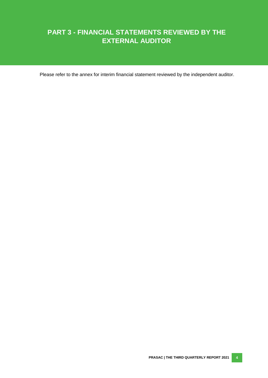# **PART 3 - FINANCIAL STATEMENTS REVIEWED BY THE EXTERNAL AUDITOR**

Please refer to the annex for interim financial statement reviewed by the independent auditor.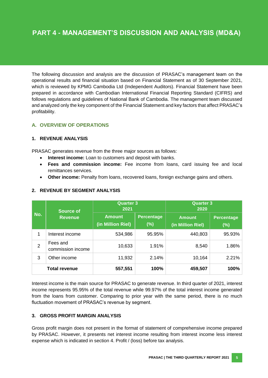The following discussion and analysis are the discussion of PRASAC's management team on the operational results and financial situation based on Financial Statement as of 30 September 2021, which is reviewed by KPMG Cambodia Ltd (Independent Auditors). Financial Statement have been prepared in accordance with Cambodian International Financial Reporting Standard (CIFRS) and follows regulations and guidelines of National Bank of Cambodia. The management team discussed and analyzed only the key component of the Financial Statement and key factors that affect PRASAC's profitability.

# <span id="page-11-0"></span>**A. OVERVIEW OF OPERATIONS**

#### **1. REVENUE ANALYSIS**

PRASAC generates revenue from the three major sources as follows:

- **Interest income:** Loan to customers and deposit with banks.
- **Fees and commission income:** Fee income from loans, card issuing fee and local remittances services.
- **Other income:** Penalty from loans, recovered loans, foreign exchange gains and others.

|                | <b>Source of</b>              | <b>Quarter 3</b><br>2021           |                             | <b>Quarter 3</b><br>2020           |                          |  |
|----------------|-------------------------------|------------------------------------|-----------------------------|------------------------------------|--------------------------|--|
| No.            | <b>Revenue</b>                | <b>Amount</b><br>(in Million Riel) | <b>Percentage</b><br>$(\%)$ | <b>Amount</b><br>(in Million Riel) | <b>Percentage</b><br>(%) |  |
| 1              | Interest income               | 534,986                            | 95.95%                      | 440,803                            | 95.93%                   |  |
| $\overline{2}$ | Fees and<br>commission income | 10,633                             | 1.91%                       | 8,540                              | 1.86%                    |  |
| 3              | Other income                  | 11,932                             | 2.14%                       | 10,164                             | 2.21%                    |  |
|                | <b>Total revenue</b>          | 557,551                            | 100%                        | 459,507                            | 100%                     |  |

#### **2. REVENUE BY SEGMENT ANALYSIS**

Interest income is the main source for PRASAC to generate revenue. In third quarter of 2021, interest income represents 95.95% of the total revenue while 99.97% of the total interest income generated from the loans from customer. Comparing to prior year with the same period, there is no much fluctuation movement of PRASAC's revenue by segment.

#### **3. GROSS PROFIT MARGIN ANALYSIS**

Gross profit margin does not present in the format of statement of comprehensive income prepared by PRASAC. However, it presents net interest income resulting from interest income less interest expense which is indicated in section 4. Profit / (loss) before tax analysis.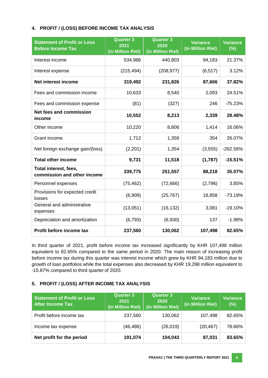#### **4. PROFIT / (LOSS) BEFORE INCOME TAX ANALYSIS**

| <b>Statement of Profit or Loss</b><br><b>Before Income Tax</b> | <b>Quarter 3</b><br><b>Quarter 3</b><br>2021<br>2020<br>(in Million Riel)<br>(in Million Riel) |            | <b>Variance</b><br>(in Million Riel) | <b>Variance</b><br>(%) |
|----------------------------------------------------------------|------------------------------------------------------------------------------------------------|------------|--------------------------------------|------------------------|
| Interest income                                                | 534,986                                                                                        | 440,803    | 94,183                               | 21.37%                 |
| Interest expense                                               | (215, 494)                                                                                     | (208, 977) | (6, 517)                             | 3.12%                  |
| <b>Net interest income</b>                                     | 319,492                                                                                        | 231,826    | 87,666                               | 37.82%                 |
| Fees and commission income                                     | 10,633                                                                                         | 8,540      | 2,093                                | 24.51%                 |
| Fees and commission expense                                    | (81)                                                                                           | (327)      | 246                                  | $-75.23%$              |
| <b>Net fees and commission</b><br>income                       | 10,552                                                                                         | 8,213      | 2,339                                | 28.48%                 |
| Other income                                                   | 10,220                                                                                         | 8,806      | 1,414                                | 16.06%                 |
| Grant income                                                   | 1,712                                                                                          | 1,358      | 354                                  | 26.07%                 |
| Net foreign exchange gain/(loss)                               | (2,201)                                                                                        | 1,354      | (3, 555)                             | $-262.56%$             |
| <b>Total other income</b>                                      | 9,731                                                                                          | 11,518     | (1,787)                              | $-15.51%$              |
| Total interest, fees,<br>commission and other income           | 339,775                                                                                        | 251,557    | 88,218                               | 35.07%                 |
| Personnel expenses                                             | (75, 462)                                                                                      | (72, 666)  | (2,796)                              | 3.85%                  |
| Provisions for expected credit<br>losses                       | (6,909)                                                                                        | (25, 767)  | 18,858                               | $-73.19%$              |
| General and administrative<br>expenses                         | (13,051)                                                                                       | (16, 132)  | 3,081                                | $-19.10%$              |
| Depreciation and amortization                                  | (6, 793)                                                                                       | (6,930)    | 137                                  | $-1.98%$               |
| Profit before income tax                                       | 237,560                                                                                        | 130,062    | 107,498                              | 82.65%                 |

In third quarter of 2021, profit before income tax increased significantly by KHR 107,498 million equivalent to 82.65% compared to the same period in 2020. The main reason of increasing profit before income tax during this quarter was interest income which grew by KHR 94,183 million due to growth of loan portfolios while the total expenses also decreased by KHR 19,298 million equivalent to -15.87% compared to third quarter of 2020.

# **5. PROFIT / (LOSS) AFTER INCOME TAX ANALYSIS**

| <b>Statement of Profit or Loss</b><br><b>After Income Tax</b> | <b>Quarter 3</b><br>2021<br>(in Million Riel) | <b>Quarter 3</b><br>2020<br>(in Million Riel) | <b>Variance</b><br>(in Million Riel) | <b>Variance</b><br>(%) |
|---------------------------------------------------------------|-----------------------------------------------|-----------------------------------------------|--------------------------------------|------------------------|
| Profit before income tax                                      | 237,560                                       | 130,062                                       | 107,498                              | 82.65%                 |
| Income tax expense                                            | (46,486)                                      | (26, 019)                                     | (20, 467)                            | 78.66%                 |
| Net profit for the period                                     | 191,074                                       | 104,043                                       | 87,031                               | 83.65%                 |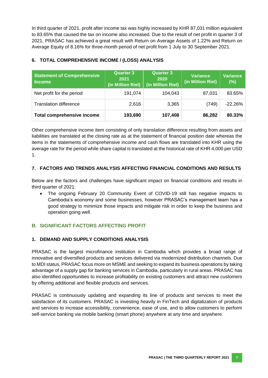In third quarter of 2021, profit after income tax was highly increased by KHR 87,031 million equivalent to 83.65% that caused the tax on income also increased. Due to the result of net profit in quarter 3 of 2021, PRASAC has achieved a great result with Return on Average Assets of 1.22% and Return on Average Equity of 8.16% for three-month period of net profit from 1 July to 30 September 2021.

| <b>Statement of Comprehensive</b><br><b>Income</b> | <b>Quarter 3</b><br>2021<br>(in Million Riel) | <b>Quarter 3</b><br>2020<br>(in Million Riel) | <b>Variance</b><br>(in Million Riel) | <b>Variance</b><br>(%) |
|----------------------------------------------------|-----------------------------------------------|-----------------------------------------------|--------------------------------------|------------------------|
| Net profit for the period                          | 191,074                                       | 104,043                                       | 87,031                               | 83.65%                 |
| <b>Translation difference</b>                      | 2,616                                         | 3,365                                         | (749)                                | $-22.26%$              |
| <b>Total comprehensive income</b>                  | 193,690                                       | 107,408                                       | 86,282                               | 80.33%                 |

# **6. TOTAL COMPREHENSIVE INCOME / (LOSS) ANALYSIS**

Other comprehensive income item consisting of only translation difference resulting from assets and liabilities are translated at the closing rate as at the statement of financial position date whereas the items in the statements of comprehensive income and cash flows are translated into KHR using the average rate for the period while share capital is translated at the historical rate of KHR 4,000 per USD 1.

#### **7. FACTORS AND TRENDS ANALYSIS AFFECTING FINANCIAL CONDITIONS AND RESULTS**

Below are the factors and challenges have significant impact on financial conditions and results in third quarter of 2021:

 The ongoing February 20 Community Event of COVID-19 still has negative impacts to Cambodia's economy and some businesses, however PRASAC's management team has a good strategy to minimize those impacts and mitigate risk in order to keep the business and operation going well.

# <span id="page-13-0"></span>**B. SIGNIFICANT FACTORS AFFECTING PROFIT**

#### **1. DEMAND AND SUPPLY CONDITIONS ANALYSIS**

PRASAC is the largest microfinance institution in Cambodia which provides a broad range of innovative and diversified products and services delivered via modernized distribution channels. Due to MDI status, PRASAC focus more on MSME and seeking to expand its business operations by taking advantage of a supply gap for banking services in Cambodia, particularly in rural areas. PRASAC has also identified opportunities to increase profitability on existing customers and attract new customers by offering additional and flexible products and services.

PRASAC is continuously updating and expanding its line of products and services to meet the satisfaction of its customers. PRASAC is investing heavily in FinTech and digitalization of products and services to increase accessibility, convenience, ease of use, and to allow customers to perform self-service banking via mobile banking (smart phone) anywhere at any time and anywhere.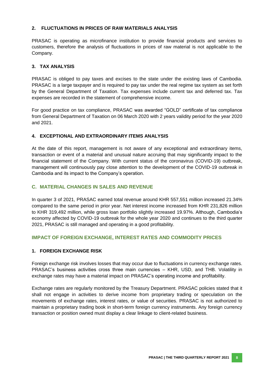#### **2. FLUCTUATIONS IN PRICES OF RAW MATERIALS ANALYSIS**

PRASAC is operating as microfinance institution to provide financial products and services to customers, therefore the analysis of fluctuations in prices of raw material is not applicable to the Company.

#### **3. TAX ANALYSIS**

PRASAC is obliged to pay taxes and excises to the state under the existing laws of Cambodia. PRASAC is a large taxpayer and is required to pay tax under the real regime tax system as set forth by the General Department of Taxation. Tax expenses include current tax and deferred tax. Tax expenses are recorded in the statement of comprehensive income.

For good practice on tax compliance, PRASAC was awarded "GOLD" certificate of tax compliance from General Department of Taxation on 06 March 2020 with 2 years validity period for the year 2020 and 2021.

#### **4. EXCEPTIONAL AND EXTRAORDINARY ITEMS ANALYSIS**

At the date of this report, management is not aware of any exceptional and extraordinary items, transaction or event of a material and unusual nature accruing that may significantly impact to the financial statement of the Company. With current status of the coronavirus (COVID-19) outbreak, management will continuously pay close attention to the development of the COVID-19 outbreak in Cambodia and its impact to the Company's operation.

#### <span id="page-14-0"></span>**C. MATERIAL CHANGES IN SALES AND REVENUE**

<span id="page-14-1"></span>In quarter 3 of 2021, PRASAC earned total revenue around KHR 557,551 million increased 21.34% compared to the same period in prior year. Net interest income increased from KHR 231,826 million to KHR 319,492 million, while gross loan portfolio slightly increased 19.97%. Although, Cambodia's economy affected by COVID-19 outbreak for the whole year 2020 and continues to the third quarter 2021, PRASAC is still managed and operating in a good profitability.

#### **IMPACT OF FOREIGN EXCHANGE, INTEREST RATES AND COMMODITY PRICES**

#### **1. FOREIGN EXCHANGE RISK**

Foreign exchange risk involves losses that may occur due to fluctuations in currency exchange rates. PRASAC's business activities cross three main currencies – KHR, USD, and THB. Volatility in exchange rates may have a material impact on PRASAC's operating income and profitability.

Exchange rates are regularly monitored by the Treasury Department. PRASAC policies stated that it shall not engage in activities to derive income from proprietary trading or speculation on the movements of exchange rates, interest rates, or value of securities. PRASAC is not authorized to maintain a proprietary trading book in short-term foreign currency instruments. Any foreign currency transaction or position owned must display a clear linkage to client-related business.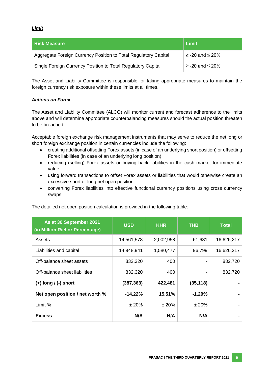#### *Limit*

| l Risk Measure                                                  | Limit                   |
|-----------------------------------------------------------------|-------------------------|
| Aggregate Foreign Currency Position to Total Regulatory Capital | $\ge$ -20 and $\le$ 20% |
| Single Foreign Currency Position to Total Regulatory Capital    | $\ge$ -20 and $\le$ 20% |

The Asset and Liability Committee is responsible for taking appropriate measures to maintain the foreign currency risk exposure within these limits at all times.

#### *Actions on Forex*

The Asset and Liability Committee (ALCO) will monitor current and forecast adherence to the limits above and will determine appropriate counterbalancing measures should the actual position threaten to be breached.

Acceptable foreign exchange risk management instruments that may serve to reduce the net long or short foreign exchange position in certain currencies include the following:

- creating additional offsetting Forex assets (in case of an underlying short position) or offsetting Forex liabilities (in case of an underlying long position).
- reducing (selling) Forex assets or buying back liabilities in the cash market for immediate value.
- using forward transactions to offset Forex assets or liabilities that would otherwise create an excessive short or long net open position.
- converting Forex liabilities into effective functional currency positions using cross currency swaps.

| As at 30 September 2021<br>(in Million Riel or Percentage) | <b>USD</b> | <b>KHR</b> | <b>THB</b> | <b>Total</b> |
|------------------------------------------------------------|------------|------------|------------|--------------|
| Assets                                                     | 14,561,578 | 2,002,958  | 61,681     | 16,626,217   |
| Liabilities and capital                                    | 14,948,941 | 1,580,477  | 96,799     | 16,626,217   |
| Off-balance sheet assets                                   | 832,320    | 400        |            | 832,720      |
| Off-balance sheet liabilities                              | 832,320    | 400        |            | 832,720      |
| $(+)$ long $/$ (-) short                                   | (387, 363) | 422,481    | (35, 118)  |              |
| Net open position / net worth %                            | $-14.22%$  | 15.51%     | $-1.29%$   |              |
| Limit %                                                    | ± 20%      | ± 20%      | ± 20%      |              |
| <b>Excess</b>                                              | N/A        | N/A        | N/A        |              |

The detailed net open position calculation is provided in the following table: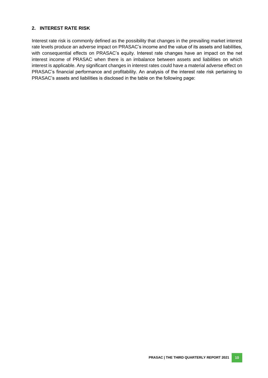#### **2. INTEREST RATE RISK**

Interest rate risk is commonly defined as the possibility that changes in the prevailing market interest rate levels produce an adverse impact on PRASAC's income and the value of its assets and liabilities, with consequential effects on PRASAC's equity. Interest rate changes have an impact on the net interest income of PRASAC when there is an imbalance between assets and liabilities on which interest is applicable. Any significant changes in interest rates could have a material adverse effect on PRASAC's financial performance and profitability. An analysis of the interest rate risk pertaining to PRASAC's assets and liabilities is disclosed in the table on the following page: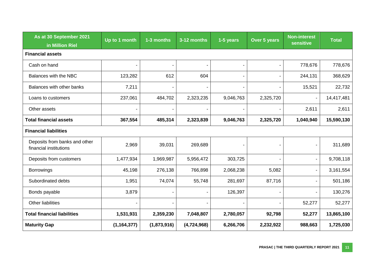| As at 30 September 2021<br>in Million Riel              | Up to 1 month  | 1-3 months  | 3-12 months | 1-5 years      | Over 5 years   | <b>Non-interest</b><br><b>sensitive</b> | Total      |
|---------------------------------------------------------|----------------|-------------|-------------|----------------|----------------|-----------------------------------------|------------|
| <b>Financial assets</b>                                 |                |             |             |                |                |                                         |            |
| Cash on hand                                            | $\blacksquare$ |             |             | $\blacksquare$ | $\blacksquare$ | 778,676                                 | 778,676    |
| Balances with the NBC                                   | 123,282        | 612         | 604         | $\blacksquare$ | $\blacksquare$ | 244,131                                 | 368,629    |
| Balances with other banks                               | 7,211          |             |             | $\blacksquare$ |                | 15,521                                  | 22,732     |
| Loans to customers                                      | 237,061        | 484,702     | 2,323,235   | 9,046,763      | 2,325,720      | $\blacksquare$                          | 14,417,481 |
| Other assets                                            |                |             |             |                |                | 2,611                                   | 2,611      |
| <b>Total financial assets</b>                           | 367,554        | 485,314     | 2,323,839   | 9,046,763      | 2,325,720      | 1,040,940                               | 15,590,130 |
| <b>Financial liabilities</b>                            |                |             |             |                |                |                                         |            |
| Deposits from banks and other<br>financial institutions | 2,969          | 39,031      | 269,689     |                |                | $\blacksquare$                          | 311,689    |
| Deposits from customers                                 | 1,477,934      | 1,969,987   | 5,956,472   | 303,725        |                | $\blacksquare$                          | 9,708,118  |
| <b>Borrowings</b>                                       | 45,198         | 276,138     | 766,898     | 2,068,238      | 5,082          | $\overline{\phantom{a}}$                | 3,161,554  |
| Subordinated debts                                      | 1,951          | 74,074      | 55,748      | 281,697        | 87,716         |                                         | 501,186    |
| Bonds payable                                           | 3,879          |             |             | 126,397        |                | $\overline{\phantom{a}}$                | 130,276    |
| Other liabilities                                       |                |             |             |                |                | 52,277                                  | 52,277     |
| <b>Total financial liabilities</b>                      | 1,531,931      | 2,359,230   | 7,048,807   | 2,780,057      | 92,798         | 52,277                                  | 13,865,100 |
| <b>Maturity Gap</b>                                     | (1, 164, 377)  | (1,873,916) | (4,724,968) | 6,266,706      | 2,232,922      | 988,663                                 | 1,725,030  |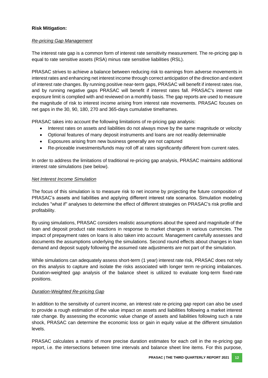#### **Risk Mitigation:**

#### *Re-pricing Gap Management*

The interest rate gap is a common form of interest rate sensitivity measurement. The re-pricing gap is equal to rate sensitive assets (RSA) minus rate sensitive liabilities (RSL).

PRASAC strives to achieve a balance between reducing risk to earnings from adverse movements in interest rates and enhancing net interest income through correct anticipation of the direction and extent of interest rate changes. By running positive near-term gaps, PRASAC will benefit if interest rates rise, and by running negative gaps PRASAC will benefit if interest rates fall. PRASAC's interest rate exposure limit is complied with and reviewed on a monthly basis. The gap reports are used to measure the magnitude of risk to interest income arising from interest rate movements. PRASAC focuses on net gaps in the 30, 90, 180, 270 and 365-days cumulative timeframes.

PRASAC takes into account the following limitations of re-pricing gap analysis:

- Interest rates on assets and liabilities do not always move by the same magnitude or velocity
- Optional features of many deposit instruments and loans are not readily determinable
- Exposures arising from new business generally are not captured
- Re-priceable investments/funds may roll off at rates significantly different from current rates.

In order to address the limitations of traditional re-pricing gap analysis, PRASAC maintains additional interest rate simulations (see below).

#### *Net Interest Income Simulation*

The focus of this simulation is to measure risk to net income by projecting the future composition of PRASAC's assets and liabilities and applying different interest rate scenarios. Simulation modeling includes "what if" analyses to determine the effect of different strategies on PRASAC's risk profile and profitability.

By using simulations, PRASAC considers realistic assumptions about the speed and magnitude of the loan and deposit product rate reactions in response to market changes in various currencies. The impact of prepayment rates on loans is also taken into account. Management carefully assesses and documents the assumptions underlying the simulations. Second round effects about changes in loan demand and deposit supply following the assumed rate adjustments are not part of the simulation.

While simulations can adequately assess short-term (1 year) interest rate risk, PRASAC does not rely on this analysis to capture and isolate the risks associated with longer term re-pricing imbalances. Duration-weighted gap analysis of the balance sheet is utilized to evaluate long-term fixed-rate positions.

#### *Duration-Weighted Re-pricing Gap*

In addition to the sensitivity of current income, an interest rate re-pricing gap report can also be used to provide a rough estimation of the value impact on assets and liabilities following a market interest rate change. By assessing the economic value change of assets and liabilities following such a rate shock, PRASAC can determine the economic loss or gain in equity value at the different simulation levels.

PRASAC calculates a matrix of more precise duration estimates for each cell in the re-pricing gap report, i.e. the intersections between time intervals and balance sheet line items. For this purpose,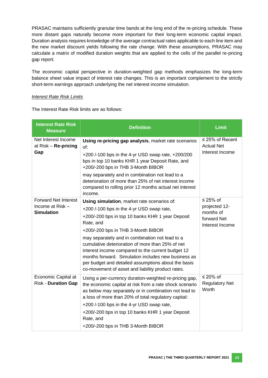PRASAC maintains sufficiently granular time bands at the long end of the re-pricing schedule. These more distant gaps naturally become more important for their long-term economic capital impact. Duration analysis requires knowledge of the average contractual rates applicable to each line item and the new market discount yields following the rate change. With these assumptions, PRASAC may calculate a matrix of modified duration weights that are applied to the cells of the parallel re-pricing gap report.

The economic capital perspective in duration-weighted gap methods emphasizes the long-term balance sheet value impact of interest rate changes. This is an important complement to the strictly short-term earnings approach underlying the net interest income simulation.

#### *Interest Rate Risk Limits*

The Interest Rate Risk limits are as follows:

| <b>Interest Rate Risk</b><br><b>Measure</b>                          | <b>Definition</b>                                                                                                                                                                                                                                                                                                                                                                                                                                                                                                              | <b>Limit</b>                                                                  |
|----------------------------------------------------------------------|--------------------------------------------------------------------------------------------------------------------------------------------------------------------------------------------------------------------------------------------------------------------------------------------------------------------------------------------------------------------------------------------------------------------------------------------------------------------------------------------------------------------------------|-------------------------------------------------------------------------------|
| Net Interest Income<br>at $Risk - Re-pricing$<br>Gap                 | Using re-pricing gap analysis, market rate scenarios<br>of:<br>+200/-100 bps in the 4-yr USD swap rate, +200/200<br>bps in top 10 banks KHR 1 year Deposit Rate, and<br>+200/-200 bps in THB 3-Month BIBOR<br>may separately and in combination not lead to a<br>deterioration of more than 25% of net interest income<br>compared to rolling prior 12 months actual net interest<br>income.                                                                                                                                   | $\leq$ 25% of Recent<br><b>Actual Net</b><br>Interest Income                  |
| <b>Forward Net Interest</b><br>Income at Risk -<br><b>Simulation</b> | Using simulation, market rate scenarios of:<br>+200 /-100 bps in the 4-yr USD swap rate,<br>+200/-200 bps in top 10 banks KHR 1 year Deposit<br>Rate, and<br>+200/-200 bps in THB 3-Month BIBOR<br>may separately and in combination not lead to a<br>cumulative deterioration of more than 25% of net<br>interest income compared to the current budget 12<br>months forward. Simulation includes new business as<br>per budget and detailed assumptions about the basis<br>co-movement of asset and liability product rates. | $\leq$ 25% of<br>projected 12-<br>months of<br>forward Net<br>Interest Income |
| Economic Capital at<br><b>Risk - Duration Gap</b>                    | Using a per-currency duration-weighted re-pricing gap,<br>the economic capital at risk from a rate shock scenario<br>as below may separately or in combination not lead to<br>a loss of more than 20% of total regulatory capital:<br>+200 /-100 bps in the 4-yr USD swap rate,<br>+200/-200 bps in top 10 banks KHR 1 year Deposit<br>Rate, and<br>+200/-200 bps in THB 3-Month BIBOR                                                                                                                                         | ≤ 20% of<br><b>Regulatory Net</b><br>Worth                                    |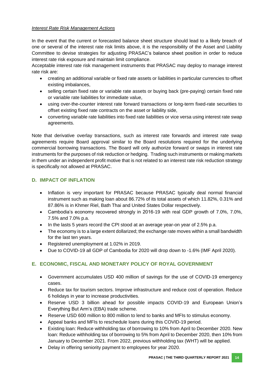#### *Interest Rate Risk Management Actions*

In the event that the current or forecasted balance sheet structure should lead to a likely breach of one or several of the interest rate risk limits above, it is the responsibility of the Asset and Liability Committee to devise strategies for adjusting PRASAC's balance sheet position in order to reduce interest rate risk exposure and maintain limit compliance.

Acceptable interest rate risk management instruments that PRASAC may deploy to manage interest rate risk are:

- creating an additional variable or fixed rate assets or liabilities in particular currencies to offset existing imbalances,
- selling certain fixed rate or variable rate assets or buying back (pre-paying) certain fixed rate or variable rate liabilities for immediate value,
- using over-the-counter interest rate forward transactions or long-term fixed-rate securities to offset existing fixed rate contracts on the asset or liability side,
- converting variable rate liabilities into fixed rate liabilities or vice versa using interest rate swap agreements.

Note that derivative overlay transactions, such as interest rate forwards and interest rate swap agreements require Board approval similar to the Board resolutions required for the underlying commercial borrowing transactions. The Board will only authorize forward or swaps in interest rate instruments for the purposes of risk reduction or hedging. Trading such instruments or making markets in them under an independent profit motive that is not related to an interest rate risk reduction strategy is specifically not allowed at PRASAC.

# <span id="page-20-0"></span>**D. IMPACT OF INFLATION**

- Inflation is very important for PRASAC because PRASAC typically deal normal financial instrument such as making loan about 86.72% of its total assets of which 11.82%, 0.31% and 87.86% is in Khmer Riel, Bath Thai and United States Dollar respectively.
- Cambodia's economy recovered strongly in 2016-19 with real GDP growth of 7.0%, 7.0%, 7.5% and 7.0% p.a.
- In the lasts 5 years record the CPI stood at an average year-on year of 2.5% p.a.
- The economy is to a large extent dollarized; the exchange rate moves within a small bandwidth for the last ten years.
- Registered unemployment at 1.02% in 2019.
- Due to COVID-19 all GDP of Cambodia for 2020 will drop down to -1.6% (IMF April 2020).

# <span id="page-20-1"></span>**E. ECONOMIC, FISCAL AND MONETARY POLICY OF ROYAL GOVERNMENT**

- Government accumulates USD 400 million of savings for the use of COVID-19 emergency cases.
- Reduce tax for tourism sectors. Improve infrastructure and reduce cost of operation. Reduce 6 holidays in year to increase productivities.
- Reserve USD 3 billion ahead for possible impacts COVID-19 and European Union's Everything But Arm's (EBA) trade scheme.
- Reserve USD 600 million to 800 million to lend to banks and MFIs to stimulus economy.
- Appeal banks and MFIs to reschedule loans during this COVID-19 period.
- Existing loan: Reduce withholding tax of borrowing to 10% from April to December 2020. New loan: Reduce withholding tax of borrowing to 5% from April to December 2020, then 10% from January to December 2021. From 2022, previous withholding tax (WHT) will be applied.
- Delay in offering seniority payment to employees for year 2020.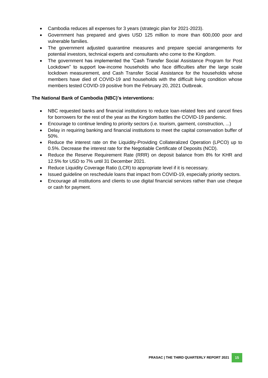- Cambodia reduces all expenses for 3 years (strategic plan for 2021-2023).
- Government has prepared and gives USD 125 million to more than 600,000 poor and vulnerable families.
- The government adjusted quarantine measures and prepare special arrangements for potential investors, technical experts and consultants who come to the Kingdom.
- The government has implemented the "Cash Transfer Social Assistance Program for Post Lockdown" to support low-income households who face difficulties after the large scale lockdown measurement, and Cash Transfer Social Assistance for the households whose members have died of COVID-19 and households with the difficult living condition whose members tested COVID-19 positive from the February 20, 2021 Outbreak.

#### **The National Bank of Cambodia (NBC)'s interventions:**

- NBC requested banks and financial institutions to reduce loan-related fees and cancel fines for borrowers for the rest of the year as the Kingdom battles the COVID-19 pandemic.
- Encourage to continue lending to priority sectors (i.e. tourism, garment, construction, ...)
- Delay in requiring banking and financial institutions to meet the capital conservation buffer of 50%.
- Reduce the interest rate on the Liquidity-Providing Collateralized Operation (LPCO) up to 0.5%. Decrease the interest rate for the Negotiable Certificate of Deposits (NCD).
- Reduce the Reserve Requirement Rate (RRR) on deposit balance from 8% for KHR and 12.5% for USD to 7% until 31 December 2021.
- Reduce Liquidity Coverage Ratio (LCR) to appropriate level if it is necessary.
- Issued guideline on reschedule loans that impact from COVID-19, especially priority sectors.
- Encourage all institutions and clients to use digital financial services rather than use cheque or cash for payment.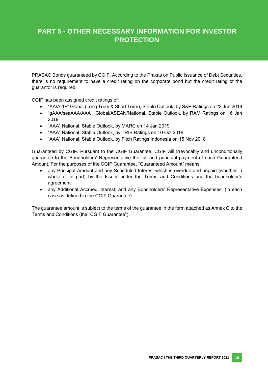# **PART 5 - OTHER NECESSARY INFORMATION FOR INVESTOR PROTECTION**

PRASAC Bonds guaranteed by CGIF. According to the Prakas on Public Issuance of Debt Securities, there is no requirement to have a credit rating on the corporate bond but the credit rating of the guarantor is required.

CGIF has been assigned credit ratings of:

- "AA/A-1+" Global (Long Term & Short Term), Stable Outlook, by S&P Ratings on 22 Jun 2018
- "gAAA/seaAAA/AAA", Global/ASEAN/National, Stable Outlook, by RAM Ratings on 16 Jan 2019
- "AAA" National, Stable Outlook, by MARC on 14 Jan 2019
- "AAA" National, Stable Outlook, by TRIS Ratings on 10 Oct 2018
- "AAA" National, Stable Outlook, by Fitch Ratings Indonesia on 15 Nov 2018

Guaranteed by CGIF. Pursuant to the CGIF Guarantee, CGIF will irrevocably and unconditionally guarantee to the Bondholders' Representative the full and punctual payment of each Guaranteed Amount. For the purposes of the CGIF Guarantee, "Guaranteed Amount" means:

- any Principal Amount and any Scheduled Interest which is overdue and unpaid (whether in whole or in part) by the Issuer under the Terms and Conditions and the bondholder's agreement;
- any Additional Accrued Interest; and any Bondholders' Representative Expenses, (in each case as defined in the CGIF Guarantee).

The guarantee amount is subject to the terms of the guarantee in the form attached as Annex C to the Terms and Conditions (the "CGIF Guarantee").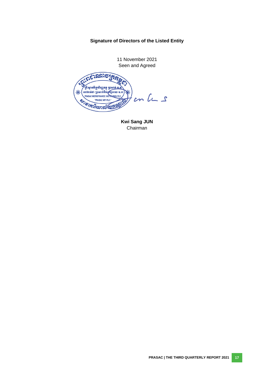# **Signature of Directors of the Listed Entity**

11 November 2021 Seen and Agreed

<span id="page-23-0"></span>ERSPIESE ះស្ថានទី<del>ក្រ</del>ុចាំញ្ញេទត្តុ <u>ត្រាសាក់ ទ</u> ESTIPING OF THE PRASE NEWSFILM OF PRASAC MCROFINANCE INSTRUMENT PLC.  $\ast$  $cn$   $lc$   $s$ BOT PRASAC MEIPLE

**Kwi Sang JUN** Chairman